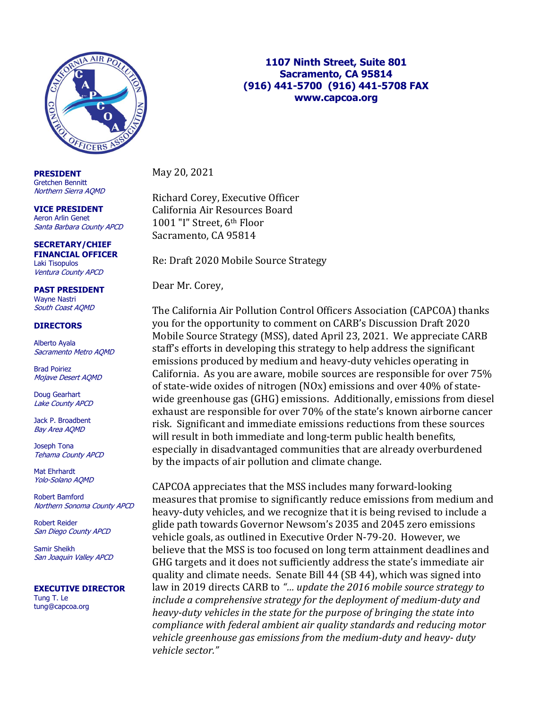

 Gretchen Bennitt Northern Sierra AQMD PRESIDENT

 Aeron Arlin Genet Santa Barbara County APCD VICE PRESIDENT

 FINANCIAL OFFICER **FINANCIAL**<br>Laki Tisopulos Ventura County APCD SECRETARY/CHIEF

 Wayne Nastri South Coast AQMD PAST PRESIDENT

## DIRECTORS

 Alberto Ayala Sacramento Metro AQMD

 Brad Poiriez Mojave Desert AQMD

 Doug Gearhart Lake County APCD

 Jack P. Broadbent Bay Area AQMD

 Joseph Tona Tehama County APCD

 Mat Ehrhardt Yolo-Solano AQMD

 Robert Bamford Northern Sonoma County APCD

 Robert Reider San Diego County APCD

 Samir Sheikh San Joaquin Valley APCD

 Tung T. Le EXECUTIVE DIRECTOR [tung@capcoa.org](mailto:tung@capcoa.org)

## 1107 Ninth Street, Suite 801 Sacramento, CA 95814 (916) 441-5700 (916) 441-5708 FAX <www.capcoa.org>

May 20, 2021

 Richard Corey, Executive Officer California Air Resources Board 1001 "I" Street, 6<sup>th</sup> Floor Sacramento, CA 95814 )1 "I" Stre<br>rramento,<br>Draft 202<br>ar Mr. Cor

Re: Draft 2020 Mobile Source Strategy

Dear Mr. Corey,

 The California Air Pollution Control Officers Association (CAPCOA) thanks you for the opportunity to comment on CARB's Discussion Draft 2020 Mobile Source Strategy (MSS), dated April 23, 2021. We appreciate CARB staff's efforts in developing this strategy to help address the significant emissions produced by medium and heavy-duty vehicles operating in California. As you are aware, mobile sources are responsible for over 75% of state-wide oxides of nitrogen (NOx) emissions and over 40% of state- wide greenhouse gas (GHG) emissions. Additionally, emissions from diesel exhaust are responsible for over 70% of the state's known airborne cancer risk. Significant and immediate emissions reductions from these sources will result in both immediate and long-term public health benefits, especially in disadvantaged communities that are already overburdened by the impacts of air pollution and climate change. **SIDENT**<br>
May 20, 20<br>
Herm Bernitt<br>
Perm Sierra AQMD<br> **E PRESIDENT**<br> **E PRESIDENT**<br>
Arlin Genet<br>
Arlin Genet<br>
Arlin Genet<br> **RETARY/CHIEF**<br> **RETARY/CHIEF**<br> **RETARY/CHIEF**<br> **RETARY/CHIEF**<br> **RETARY/CHIEF**<br> **RETARY/CHIEF**<br> **RE** ne Califor<br>ou for the<br>obile Sou<br>aff's effor<br>missions<br>plifornia.<br>'state-wi<br>ide green<br>thaust are<br>sk. Signif<br>ill result<br>pecially i<br>r the imp.<br>Pecially i

 CAPCOA appreciates that the MSS includes many forward-looking measures that promise to significantly reduce emissions from medium and glide path towards Governor Newsom's 2035 and 2045 zero emissions vehicle goals, as outlined in Executive Order N-79-20. However, we believe that the MSS is too focused on long term attainment deadlines and GHG targets and it does not sufficiently address the state's immediate air quality and climate needs. Senate Bill 44 (SB 44), which was signed into law in 2019 directs CARB to "... update the 2016 mobile source strategy to include a comprehensive strategy for the deployment of medium-duty and heavy-duty vehicles in the state for the purpose of bringing the state into compliance with federal ambient air quality standards and reducing motor vehicle greenhouse gas emissions from the medium-duty and heavy- duty vehicle sector."ures th<br>y-duty<br>path to icle goal<br>eve that<br>G targets<br>lity and<br>in 2019<br>*ude a co*<br>*vy-duty*<br>*npliance*<br>icle gree heavy-duty vehicles, and we recognize that it is being revised to include a